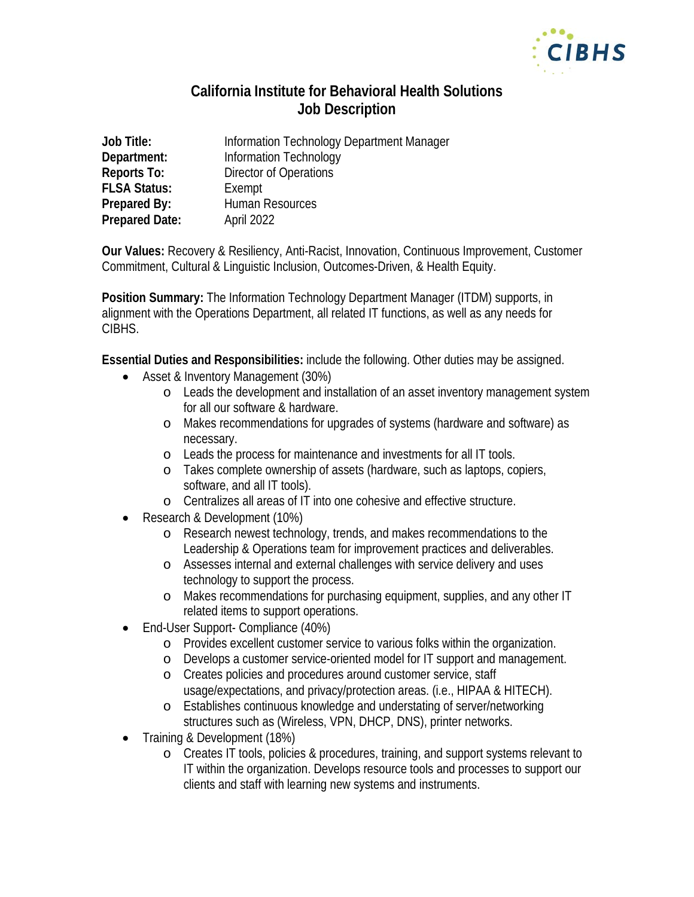

# **California Institute for Behavioral Health Solutions Job Description**

| <b>Job Title:</b>     | Information Technology Department Manager |
|-----------------------|-------------------------------------------|
| Department:           | Information Technology                    |
| <b>Reports To:</b>    | Director of Operations                    |
| <b>FLSA Status:</b>   | Exempt                                    |
| Prepared By:          | <b>Human Resources</b>                    |
| <b>Prepared Date:</b> | April 2022                                |

**Our Values:** Recovery & Resiliency, Anti-Racist, Innovation, Continuous Improvement, Customer Commitment, Cultural & Linguistic Inclusion, Outcomes-Driven, & Health Equity.

**Position Summary:** The Information Technology Department Manager (ITDM) supports, in alignment with the Operations Department, all related IT functions, as well as any needs for CIBHS.

**Essential Duties and Responsibilities:** include the following. Other duties may be assigned.

- Asset & Inventory Management (30%)
	- o Leads the development and installation of an asset inventory management system for all our software & hardware.
	- o Makes recommendations for upgrades of systems (hardware and software) as necessary.
	- o Leads the process for maintenance and investments for all IT tools.
	- o Takes complete ownership of assets (hardware, such as laptops, copiers, software, and all IT tools).
	- o Centralizes all areas of IT into one cohesive and effective structure.
- Research & Development (10%)
	- o Research newest technology, trends, and makes recommendations to the Leadership & Operations team for improvement practices and deliverables.
	- o Assesses internal and external challenges with service delivery and uses technology to support the process.
	- o Makes recommendations for purchasing equipment, supplies, and any other IT related items to support operations.
- End-User Support- Compliance (40%)
	- o Provides excellent customer service to various folks within the organization.
	- o Develops a customer service-oriented model for IT support and management.
	- o Creates policies and procedures around customer service, staff usage/expectations, and privacy/protection areas. (i.e., HIPAA & HITECH).
	- o Establishes continuous knowledge and understating of server/networking structures such as (Wireless, VPN, DHCP, DNS), printer networks.
- Training & Development (18%)
	- o Creates IT tools, policies & procedures, training, and support systems relevant to IT within the organization. Develops resource tools and processes to support our clients and staff with learning new systems and instruments.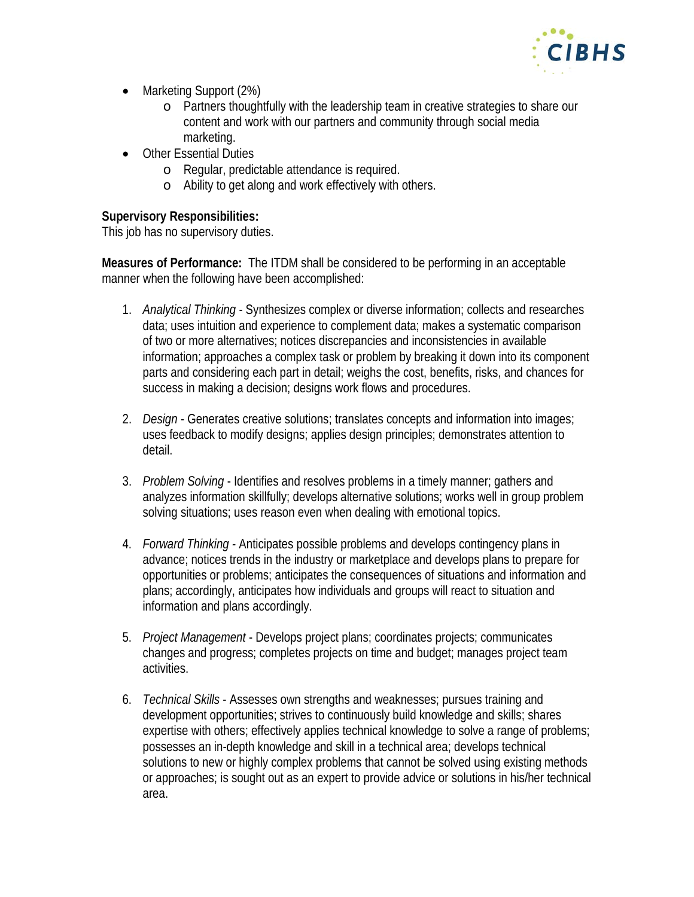

- Marketing Support (2%)
	- o Partners thoughtfully with the leadership team in creative strategies to share our content and work with our partners and community through social media marketing.
- Other Essential Duties
	- o Regular, predictable attendance is required.
	- o Ability to get along and work effectively with others.

### **Supervisory Responsibilities:**

This job has no supervisory duties.

**Measures of Performance:** The ITDM shall be considered to be performing in an acceptable manner when the following have been accomplished:

- 1. *Analytical Thinking*  Synthesizes complex or diverse information; collects and researches data; uses intuition and experience to complement data; makes a systematic comparison of two or more alternatives; notices discrepancies and inconsistencies in available information; approaches a complex task or problem by breaking it down into its component parts and considering each part in detail; weighs the cost, benefits, risks, and chances for success in making a decision; designs work flows and procedures.
- 2. *Design* Generates creative solutions; translates concepts and information into images; uses feedback to modify designs; applies design principles; demonstrates attention to detail.
- 3. *Problem Solving* Identifies and resolves problems in a timely manner; gathers and analyzes information skillfully; develops alternative solutions; works well in group problem solving situations; uses reason even when dealing with emotional topics.
- 4. *Forward Thinking -* Anticipates possible problems and develops contingency plans in advance; notices trends in the industry or marketplace and develops plans to prepare for opportunities or problems; anticipates the consequences of situations and information and plans; accordingly, anticipates how individuals and groups will react to situation and information and plans accordingly.
- 5. *Project Management* Develops project plans; coordinates projects; communicates changes and progress; completes projects on time and budget; manages project team activities.
- 6. *Technical Skills* Assesses own strengths and weaknesses; pursues training and development opportunities; strives to continuously build knowledge and skills; shares expertise with others; effectively applies technical knowledge to solve a range of problems; possesses an in-depth knowledge and skill in a technical area; develops technical solutions to new or highly complex problems that cannot be solved using existing methods or approaches; is sought out as an expert to provide advice or solutions in his/her technical area.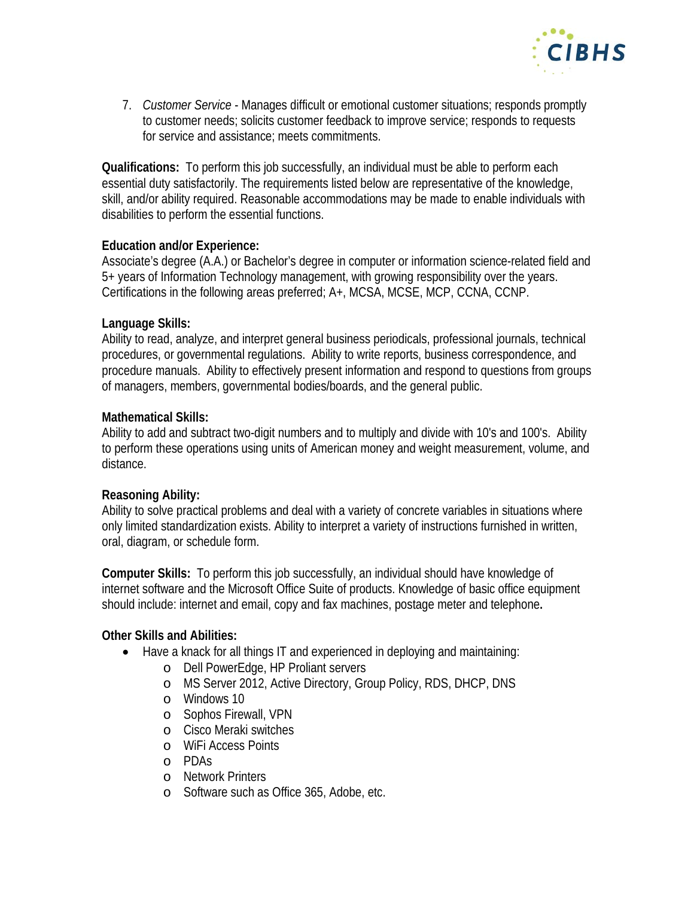

7. *Customer Service* - Manages difficult or emotional customer situations; responds promptly to customer needs; solicits customer feedback to improve service; responds to requests for service and assistance; meets commitments.

**Qualifications:** To perform this job successfully, an individual must be able to perform each essential duty satisfactorily. The requirements listed below are representative of the knowledge, skill, and/or ability required. Reasonable accommodations may be made to enable individuals with disabilities to perform the essential functions.

### **Education and/or Experience:**

Associate's degree (A.A.) or Bachelor's degree in computer or information science-related field and 5+ years of Information Technology management, with growing responsibility over the years. Certifications in the following areas preferred; A+, MCSA, MCSE, MCP, CCNA, CCNP.

## **Language Skills:**

Ability to read, analyze, and interpret general business periodicals, professional journals, technical procedures, or governmental regulations. Ability to write reports, business correspondence, and procedure manuals. Ability to effectively present information and respond to questions from groups of managers, members, governmental bodies/boards, and the general public.

## **Mathematical Skills:**

Ability to add and subtract two-digit numbers and to multiply and divide with 10's and 100's. Ability to perform these operations using units of American money and weight measurement, volume, and distance.

## **Reasoning Ability:**

Ability to solve practical problems and deal with a variety of concrete variables in situations where only limited standardization exists. Ability to interpret a variety of instructions furnished in written, oral, diagram, or schedule form.

**Computer Skills:** To perform this job successfully, an individual should have knowledge of internet software and the Microsoft Office Suite of products. Knowledge of basic office equipment should include: internet and email, copy and fax machines, postage meter and telephone**.**

### **Other Skills and Abilities:**

- Have a knack for all things IT and experienced in deploying and maintaining:
	- o Dell PowerEdge, HP Proliant servers
	- o MS Server 2012, Active Directory, Group Policy, RDS, DHCP, DNS
	- o Windows 10
	- o Sophos Firewall, VPN
	- o Cisco Meraki switches
	- o WiFi Access Points
	- o PDAs
	- o Network Printers
	- o Software such as Office 365, Adobe, etc.